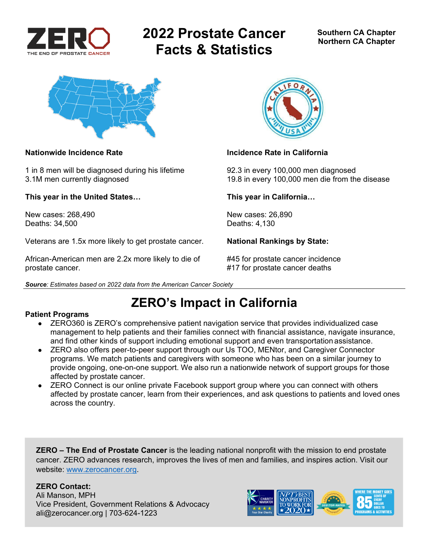

# **2022 Prostate Cancer Facts & Statistics**



1 in 8 men will be diagnosed during his lifetime 92.3 in every 100,000 men diagnosed

**This year in the United States… This year in California…** 

New cases: 268,490 New cases: 26,890 Deaths: 34,500 Deaths: 4,130

Veterans are 1.5x more likely to get prostate cancer. **National Rankings by State:** 

African-American men are 2.2x more likely to die of #45 for prostate cancer incidence prostate cancer. #17 for prostate cancer deaths





#### **Nationwide Incidence Rate Incidence Rate in California**

3.1M men currently diagnosed 19.8 in every 100,000 men die from the disease

## **ZERO's Impact in California**

#### **Patient Programs**

- ZERO360 is ZERO's comprehensive patient navigation service that provides individualized case management to help patients and their families connect with financial assistance, navigate insurance, and find other kinds of support including emotional support and even transportation assistance.
- ZERO also offers peer-to-peer support through our Us TOO, MENtor, and Caregiver Connector programs. We match patients and caregivers with someone who has been on a similar journey to provide ongoing, one-on-one support. We also run a nationwide network of support groups for those affected by prostate cancer.
- ZERO Connect is our online private Facebook support group where you can connect with others affected by prostate cancer, learn from their experiences, and ask questions to patients and loved ones across the country.

**ZERO – The End of Prostate Cancer** is the leading national nonprofit with the mission to end prostate cancer. ZERO advances research, improves the lives of men and families, and inspires action. Visit our website: www.zerocancer.org.

### **ZERO Contact:**

Ali Manson, MPH Vice President, Government Relations & Advocacy ali@zerocancer.org | 703-624-1223

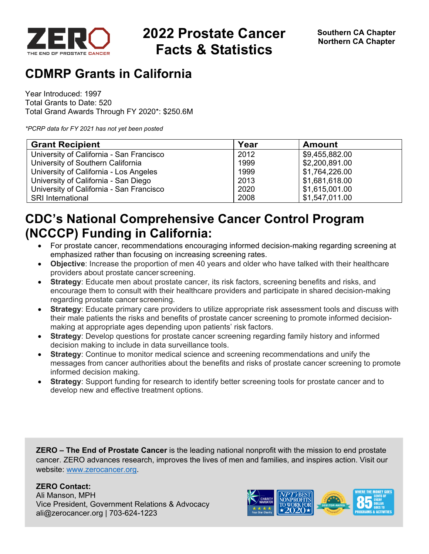

# **2022 Prostate Cancer Facts & Statistics**

## **CDMRP Grants in California**

Year Introduced: 1997 Total Grants to Date: 520 Total Grand Awards Through FY 2020\*: \$250.6M

*\*PCRP data for FY 2021 has not yet been posted* 

| <b>Grant Recipient</b>                   | Year | <b>Amount</b>  |
|------------------------------------------|------|----------------|
| University of California - San Francisco | 2012 | \$9,455,882.00 |
| University of Southern California        | 1999 | \$2,200,891.00 |
| University of California - Los Angeles   | 1999 | \$1,764,226.00 |
| University of California - San Diego     | 2013 | \$1,681,618.00 |
| University of California - San Francisco | 2020 | \$1,615,001.00 |
| <b>SRI International</b>                 | 2008 | \$1,547,011.00 |

## **CDC's National Comprehensive Cancer Control Program (NCCCP) Funding in California:**

- For prostate cancer, recommendations encouraging informed decision-making regarding screening at emphasized rather than focusing on increasing screening rates.
- **Objective**: Increase the proportion of men 40 years and older who have talked with their healthcare providers about prostate cancer screening.
- **Strategy**: Educate men about prostate cancer, its risk factors, screening benefits and risks, and encourage them to consult with their healthcare providers and participate in shared decision-making regarding prostate cancer screening.
- **Strategy**: Educate primary care providers to utilize appropriate risk assessment tools and discuss with their male patients the risks and benefits of prostate cancer screening to promote informed decisionmaking at appropriate ages depending upon patients' risk factors.
- **Strategy**: Develop questions for prostate cancer screening regarding family history and informed decision making to include in data surveillance tools.
- **Strategy**: Continue to monitor medical science and screening recommendations and unify the messages from cancer authorities about the benefits and risks of prostate cancer screening to promote informed decision making.
- **Strategy**: Support funding for research to identify better screening tools for prostate cancer and to develop new and effective treatment options.

**ZERO – The End of Prostate Cancer** is the leading national nonprofit with the mission to end prostate cancer. ZERO advances research, improves the lives of men and families, and inspires action. Visit our website: www.zerocancer.org.

### **ZERO Contact:**

Ali Manson, MPH Vice President, Government Relations & Advocacy ali@zerocancer.org | 703-624-1223